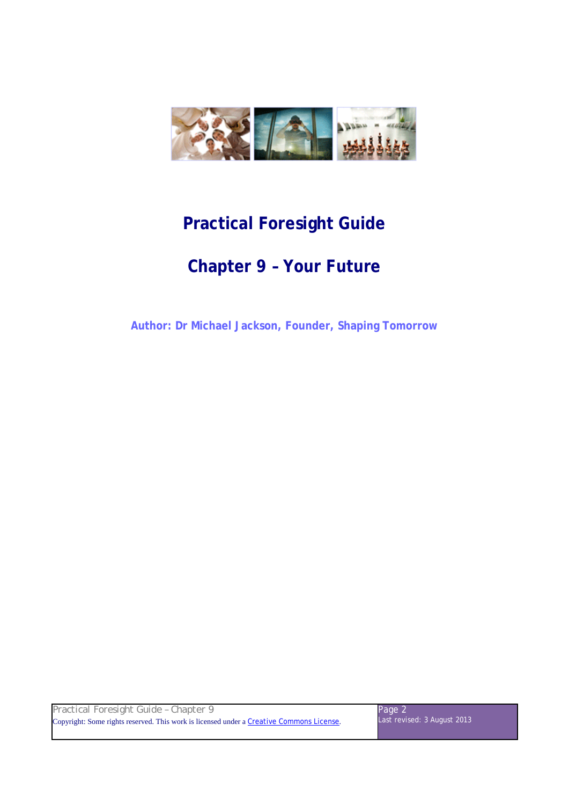

# **Practical Foresight Guide**

# **Chapter 9 – Your Future**

**Author: Dr Michael Jackson, Founder, Shaping Tomorrow** 

| Practical Foresight Guide - Chapter 9                                                    | Page 2                      |
|------------------------------------------------------------------------------------------|-----------------------------|
| Copyright: Some rights reserved. This work is licensed under a Creative Commons License. | Last revised: 3 August 2013 |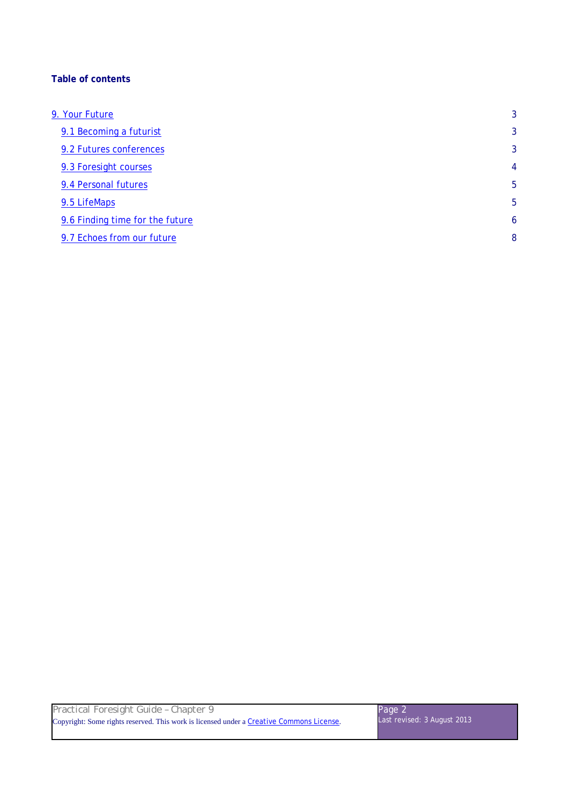# **Table of contents**

| 9. Your Future                  | 3              |
|---------------------------------|----------------|
| 9.1 Becoming a futurist         | 3              |
| 9.2 Futures conferences         | 3              |
| 9.3 Foresight courses           | $\overline{4}$ |
| 9.4 Personal futures            | 5              |
| 9.5 LifeMaps                    | 5              |
| 9.6 Finding time for the future | 6              |
| 9.7 Echoes from our future      | 8              |
|                                 |                |

| Practical Foresight Guide - Chapter 9                                                    | Page 2                      |
|------------------------------------------------------------------------------------------|-----------------------------|
| Copyright: Some rights reserved. This work is licensed under a Creative Commons License. | Last revised: 3 August 2013 |
|                                                                                          |                             |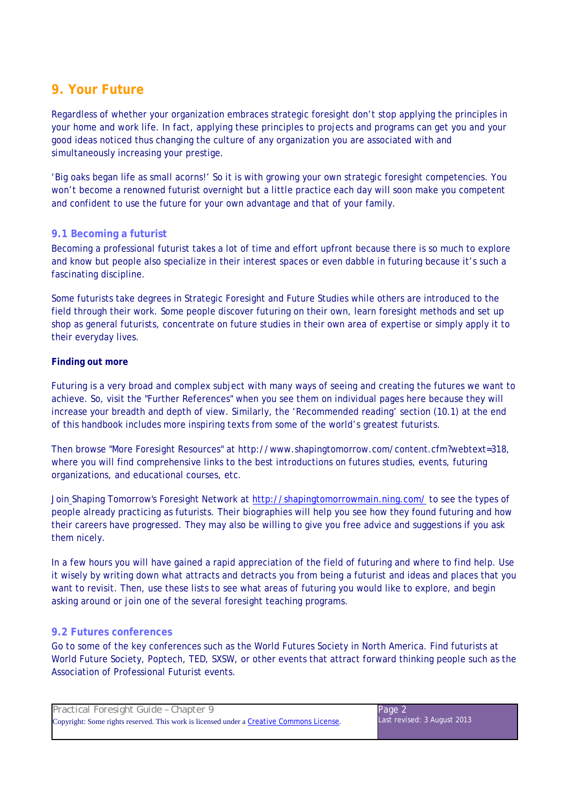# **9. Your Future**

Regardless of whether your organization embraces strategic foresight don't stop applying the principles in your home and work life. In fact, applying these principles to projects and programs can get you and your good ideas noticed thus changing the culture of any organization you are associated with and simultaneously increasing your prestige.

'Big oaks began life as small acorns!' So it is with growing your own strategic foresight competencies. You won't become a renowned futurist overnight but a little practice each day will soon make you competent and confident to use the future for your own advantage and that of your family.

# **9.1 Becoming a futurist**

Becoming a professional futurist takes a lot of time and effort upfront because there is so much to explore and know but people also specialize in their interest spaces or even dabble in futuring because it's such a fascinating discipline.

Some futurists take degrees in Strategic Foresight and Future Studies while others are introduced to the field through their work. Some people discover futuring on their own, learn foresight methods and set up shop as general futurists, concentrate on future studies in their own area of expertise or simply apply it to their everyday lives.

# **Finding out more**

Futuring is a very broad and complex subject with many ways of seeing and creating the futures we want to achieve. So, visit the "Further References" when you see them on individual pages here because they will increase your breadth and depth of view. Similarly, the 'Recommended reading' section (10.1) at the end of this handbook includes more inspiring texts from some of the world's greatest futurists.

Then browse "More Foresight Resources" at http://www.shapingtomorrow.com/content.cfm?webtext=318, where you will find comprehensive links to the best introductions on futures studies, events, futuring organizations, and educational courses, etc.

Join Shaping Tomorrow's Foresight Network at http://shapingtomorrowmain.ning.com/ to see the types of people already practicing as futurists. Their biographies will help you see how they found futuring and how their careers have progressed. They may also be willing to give you free advice and suggestions if you ask them nicely.

In a few hours you will have gained a rapid appreciation of the field of futuring and where to find help. Use it wisely by writing down what attracts and detracts you from being a futurist and ideas and places that you want to revisit. Then, use these lists to see what areas of futuring you would like to explore, and begin asking around or join one of the several foresight teaching programs.

# **9.2 Futures conferences**

Go to some of the key conferences such as the World Futures Society in North America. Find futurists at World Future Society, Poptech, TED, SXSW, or other events that attract forward thinking people such as the Association of Professional Futurist events.

| Practical Foresight Guide - Chapter 9                                                    | Page 2                      |
|------------------------------------------------------------------------------------------|-----------------------------|
| Copyright: Some rights reserved. This work is licensed under a Creative Commons License. | Last revised: 3 August 2013 |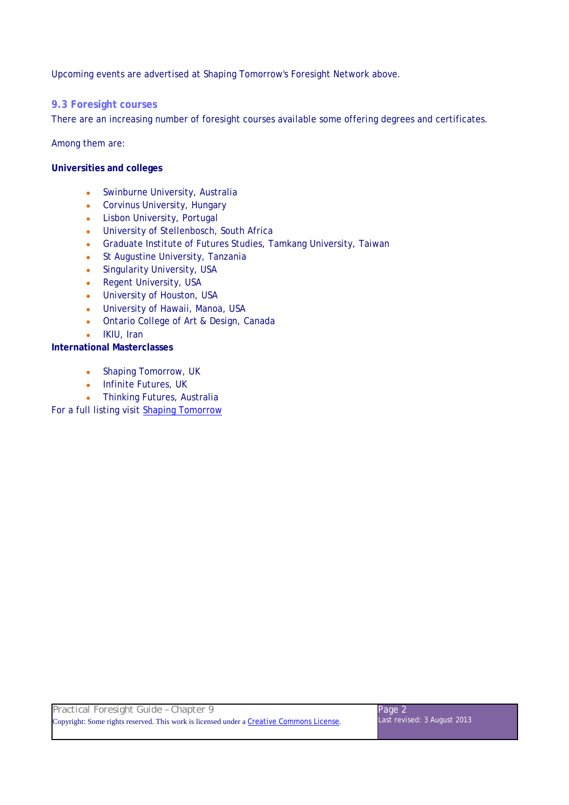Upcoming events are advertised at Shaping Tomorrow's Foresight Network above.

#### **9.3 Foresight courses**

There are an increasing number of foresight courses available some offering degrees and certificates.

Among them are:

#### **Universities and colleges**

- Swinburne University, Australia
- Corvinus University, Hungary
- Lisbon University, Portugal
- University of Stellenbosch, South Africa
- Graduate Institute of Futures Studies, Tamkang University, Taiwan
- St Augustine University, Tanzania
- Singularity University, USA
- Regent University, USA
- University of Houston, USA
- University of Hawaii, Manoa, USA
- Ontario College of Art & Design, Canada
- IKIU, Iran

#### **International Masterclasses**

- Shaping Tomorrow, UK
- Infinite Futures, UK
- Thinking Futures, Australia

For a full listing visit Shaping Tomorrow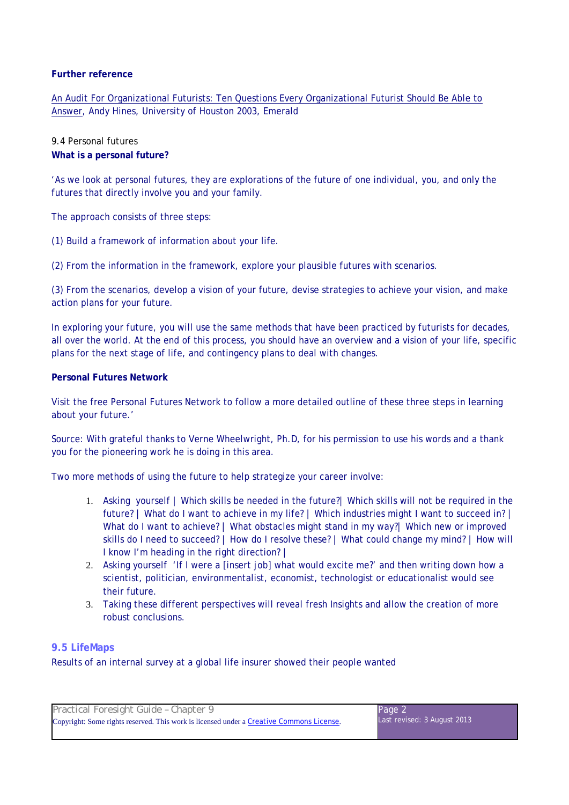#### **Further reference**

An Audit For Organizational Futurists: Ten Questions Every Organizational Futurist Should Be Able to Answer, Andy Hines, University of Houston 2003, Emerald

# 9.4 Personal futures **What is a personal future?**

'As we look at personal futures, they are explorations of the future of one individual, you, and only the futures that directly involve you and your family.

The approach consists of three steps:

(1) Build a framework of information about your life.

(2) From the information in the framework, explore your plausible futures with scenarios.

(3) From the scenarios, develop a vision of your future, devise strategies to achieve your vision, and make action plans for your future.

In exploring your future, you will use the same methods that have been practiced by futurists for decades, all over the world. At the end of this process, you should have an overview and a vision of your life, specific plans for the next stage of life, and contingency plans to deal with changes.

#### **Personal Futures Network**

Visit the free Personal Futures Network to follow a more detailed outline of these three steps in learning about your future.'

Source: With grateful thanks to Verne Wheelwright, Ph.D, for his permission to use his words and a thank you for the pioneering work he is doing in this area.

Two more methods of using the future to help strategize your career involve:

- 1. Asking yourself | Which skills be needed in the future?| Which skills will not be required in the future? | What do I want to achieve in my life? | Which industries might I want to succeed in? | What do I want to achieve? | What obstacles might stand in my way?| Which new or improved skills do I need to succeed? | How do I resolve these? | What could change my mind? | How will I know I'm heading in the right direction? |
- 2. Asking yourself 'If I were a [insert job] what would excite me?' and then writing down how a scientist, politician, environmentalist, economist, technologist or educationalist would see their future.
- 3. Taking these different perspectives will reveal fresh Insights and allow the creation of more robust conclusions.

# **9.5 LifeMaps**

Results of an internal survey at a global life insurer showed their people wanted

| Practical Foresight Guide - Chapter 9                                                    | Page 2                      |
|------------------------------------------------------------------------------------------|-----------------------------|
| Copyright: Some rights reserved. This work is licensed under a Creative Commons License. | Last revised: 3 August 2013 |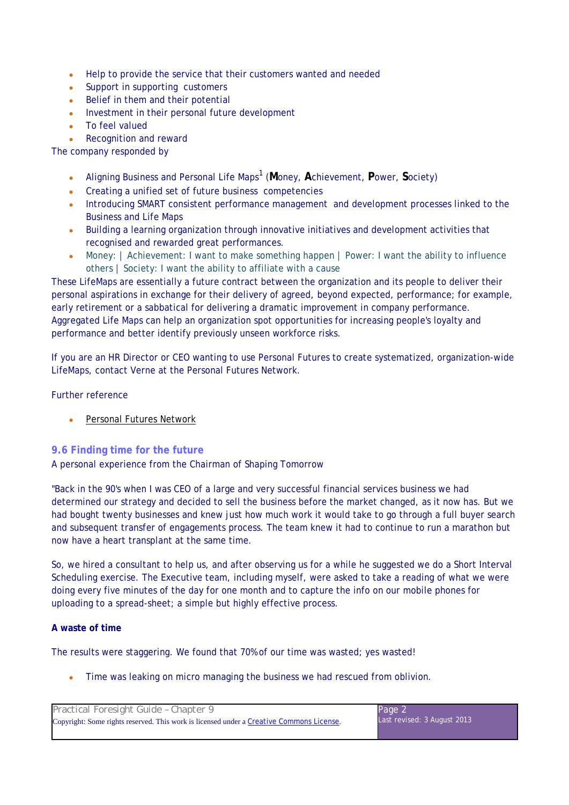- Help to provide the service that their customers wanted and needed
- Support in supporting customers
- Belief in them and their potential
- Investment in their personal future development
- To feel valued
- **Recognition and reward**

The company responded by

- Aligning Business and Personal Life Maps<sup>1</sup> (Money, Achievement, Power, Society)
- Creating a unified set of future business competencies
- Introducing SMART consistent performance management and development processes linked to the Business and Life Maps
- Building a learning organization through innovative initiatives and development activities that recognised and rewarded great performances.
- Money: | Achievement: I want to make something happen | Power: I want the ability to influence others | Society: I want the ability to affiliate with a cause

These LifeMaps are essentially a future contract between the organization and its people to deliver their personal aspirations in exchange for their delivery of agreed, beyond expected, performance; for example, early retirement or a sabbatical for delivering a dramatic improvement in company performance. Aggregated Life Maps can help an organization spot opportunities for increasing people's loyalty and performance and better identify previously unseen workforce risks.

If you are an HR Director or CEO wanting to use Personal Futures to create systematized, organization-wide LifeMaps, contact Verne at the Personal Futures Network.

#### Further reference

• Personal Futures Network

# **9.6 Finding time for the future**

A personal experience from the Chairman of Shaping Tomorrow

"Back in the 90's when I was CEO of a large and very successful financial services business we had determined our strategy and decided to sell the business before the market changed, as it now has. But we had bought twenty businesses and knew just how much work it would take to go through a full buyer search and subsequent transfer of engagements process. The team knew it had to continue to run a marathon but now have a heart transplant at the same time.

So, we hired a consultant to help us, and after observing us for a while he suggested we do a Short Interval Scheduling exercise. The Executive team, including myself, were asked to take a reading of what we were doing every five minutes of the day for one month and to capture the info on our mobile phones for uploading to a spread-sheet; a simple but highly effective process.

#### **A waste of time**

The results were staggering. We found that 70% of our time was wasted; yes wasted!

• Time was leaking on micro managing the business we had rescued from oblivion.

| Practical Foresight Guide - Chapter 9                                                    | Page 2                      |
|------------------------------------------------------------------------------------------|-----------------------------|
| Copyright: Some rights reserved. This work is licensed under a Creative Commons License. | Last revised: 3 August 2013 |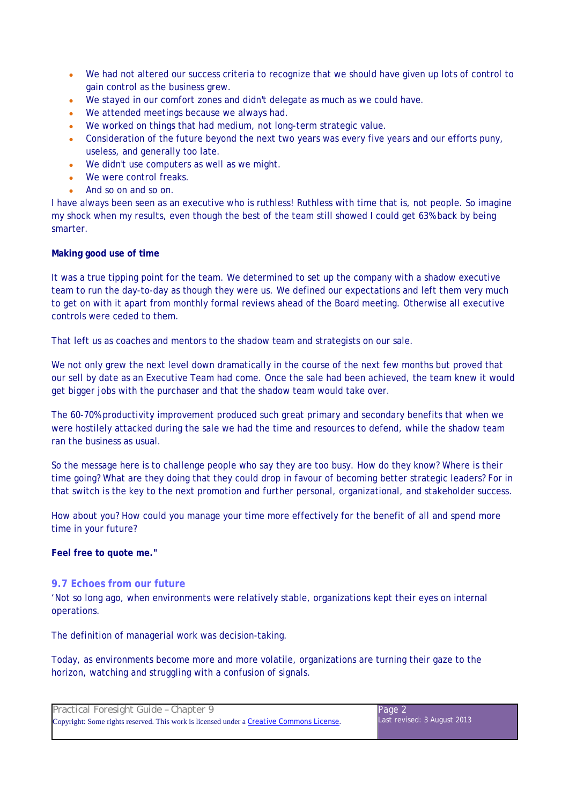- We had not altered our success criteria to recognize that we should have given up lots of control to gain control as the business grew.
- We stayed in our comfort zones and didn't delegate as much as we could have.
- We attended meetings because we always had.
- We worked on things that had medium, not long-term strategic value.
- Consideration of the future beyond the next two years was every five years and our efforts puny, useless, and generally too late.
- We didn't use computers as well as we might.
- We were control freaks.
- And so on and so on.

I have always been seen as an executive who is ruthless! Ruthless with time that is, not people. So imagine my shock when my results, even though the best of the team still showed I could get 63% back by being smarter.

#### **Making good use of time**

It was a true tipping point for the team. We determined to set up the company with a shadow executive team to run the day-to-day as though they were us. We defined our expectations and left them very much to get on with it apart from monthly formal reviews ahead of the Board meeting. Otherwise all executive controls were ceded to them.

That left us as coaches and mentors to the shadow team and strategists on our sale.

We not only grew the next level down dramatically in the course of the next few months but proved that our sell by date as an Executive Team had come. Once the sale had been achieved, the team knew it would get bigger jobs with the purchaser and that the shadow team would take over.

The 60-70% productivity improvement produced such great primary and secondary benefits that when we were hostilely attacked during the sale we had the time and resources to defend, while the shadow team ran the business as usual.

So the message here is to challenge people who say they are too busy. How do they know? Where is their time going? What are they doing that they could drop in favour of becoming better strategic leaders? For in that switch is the key to the next promotion and further personal, organizational, and stakeholder success.

How about you? How could you manage your time more effectively for the benefit of all and spend more time in your future?

**Feel free to quote me."** 

#### **9.7 Echoes from our future**

'Not so long ago, when environments were relatively stable, organizations kept their eyes on internal operations.

The definition of managerial work was decision-taking.

Today, as environments become more and more volatile, organizations are turning their gaze to the horizon, watching and struggling with a confusion of signals.

| Practical Foresight Guide - Chapter 9                                                    | Page 2                      |
|------------------------------------------------------------------------------------------|-----------------------------|
| Copyright: Some rights reserved. This work is licensed under a Creative Commons License. | Last revised: 3 August 2013 |